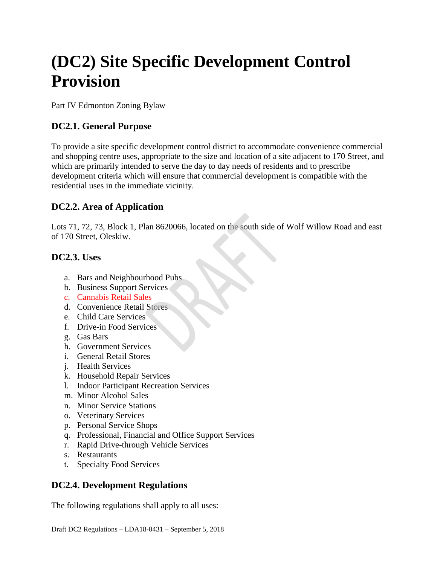# **(DC2) Site Specific Development Control Provision**

Part IV Edmonton Zoning Bylaw

## **DC2.1. General Purpose**

To provide a site specific development control district to accommodate convenience commercial and shopping centre uses, appropriate to the size and location of a site adjacent to 170 Street, and which are primarily intended to serve the day to day needs of residents and to prescribe development criteria which will ensure that commercial development is compatible with the residential uses in the immediate vicinity.

## **DC2.2. Area of Application**

Lots 71, 72, 73, Block 1, Plan 8620066, located on the south side of Wolf Willow Road and east of 170 Street, Oleskiw.

#### **DC2.3. Uses**

- a. Bars and Neighbourhood Pubs
- b. Business Support Services
- c. Cannabis Retail Sales
- d. Convenience Retail Stores
- e. Child Care Services
- f. Drive-in Food Services
- g. Gas Bars
- h. Government Services
- i. General Retail Stores
- j. Health Services
- k. Household Repair Services
- l. Indoor Participant Recreation Services
- m. Minor Alcohol Sales
- n. Minor Service Stations
- o. Veterinary Services
- p. Personal Service Shops
- q. Professional, Financial and Office Support Services
- r. Rapid Drive-through Vehicle Services
- s. Restaurants
- t. Specialty Food Services

## **DC2.4. Development Regulations**

The following regulations shall apply to all uses: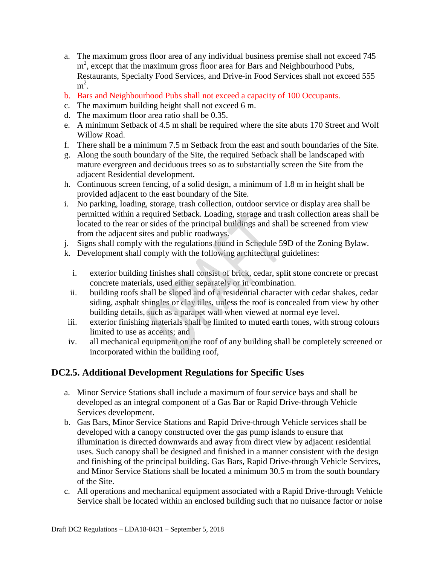- a. The maximum gross floor area of any individual business premise shall not exceed 745 m<sup>2</sup>, except that the maximum gross floor area for Bars and Neighbourhood Pubs, Restaurants, Specialty Food Services, and Drive-in Food Services shall not exceed 555  $m^2$ .
- b. Bars and Neighbourhood Pubs shall not exceed a capacity of 100 Occupants.
- c. The maximum building height shall not exceed 6 m.
- d. The maximum floor area ratio shall be 0.35.
- e. A minimum Setback of 4.5 m shall be required where the site abuts 170 Street and Wolf Willow Road.
- f. There shall be a minimum 7.5 m Setback from the east and south boundaries of the Site.
- g. Along the south boundary of the Site, the required Setback shall be landscaped with mature evergreen and deciduous trees so as to substantially screen the Site from the adjacent Residential development.
- h. Continuous screen fencing, of a solid design, a minimum of 1.8 m in height shall be provided adjacent to the east boundary of the Site.
- i. No parking, loading, storage, trash collection, outdoor service or display area shall be permitted within a required Setback. Loading, storage and trash collection areas shall be located to the rear or sides of the principal buildings and shall be screened from view from the adjacent sites and public roadways.
- j. Signs shall comply with the regulations found in Schedule 59D of the Zoning Bylaw.
- k. Development shall comply with the following architectural guidelines:
	- i. exterior building finishes shall consist of brick, cedar, split stone concrete or precast concrete materials, used either separately or in combination.
	- ii. building roofs shall be sloped and of a residential character with cedar shakes, cedar siding, asphalt shingles or clay tiles, unless the roof is concealed from view by other building details, such as a parapet wall when viewed at normal eye level.
- iii. exterior finishing materials shall be limited to muted earth tones, with strong colours limited to use as accents; and
- iv. all mechanical equipment on the roof of any building shall be completely screened or incorporated within the building roof,

## **DC2.5. Additional Development Regulations for Specific Uses**

- a. Minor Service Stations shall include a maximum of four service bays and shall be developed as an integral component of a Gas Bar or Rapid Drive-through Vehicle Services development.
- b. Gas Bars, Minor Service Stations and Rapid Drive-through Vehicle services shall be developed with a canopy constructed over the gas pump islands to ensure that illumination is directed downwards and away from direct view by adjacent residential uses. Such canopy shall be designed and finished in a manner consistent with the design and finishing of the principal building. Gas Bars, Rapid Drive-through Vehicle Services, and Minor Service Stations shall be located a minimum 30.5 m from the south boundary of the Site.
- c. All operations and mechanical equipment associated with a Rapid Drive-through Vehicle Service shall be located within an enclosed building such that no nuisance factor or noise